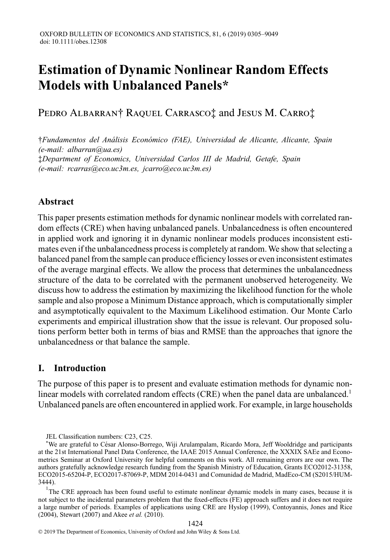# **Estimation of Dynamic Nonlinear Random Effects Models with Unbalanced Panels\***

Pedro Albarran† Raquel Carrasco‡ and Jesus M. Carro‡

†*Fundamentos del An ´alisis Econ ´omico (FAE), Universidad de Alicante, Alicante, Spain (e-mail: albarran@ua.es)* ‡*Department of Economics, Universidad Carlos III de Madrid, Getafe, Spain (e-mail: rcarras@eco.uc3m.es, jcarro@eco.uc3m.es)*

# **Abstract**

This paper presents estimation methods for dynamic nonlinear models with correlated random effects (CRE) when having unbalanced panels. Unbalancedness is often encountered in applied work and ignoring it in dynamic nonlinear models produces inconsistent estimates even if the unbalancedness process is completely at random.We show that selecting a balanced panel from the sample can produce efficiency losses or even inconsistent estimates of the average marginal effects. We allow the process that determines the unbalancedness structure of the data to be correlated with the permanent unobserved heterogeneity. We discuss how to address the estimation by maximizing the likelihood function for the whole sample and also propose a Minimum Distance approach, which is computationally simpler and asymptotically equivalent to the Maximum Likelihood estimation. Our Monte Carlo experiments and empirical illustration show that the issue is relevant. Our proposed solutions perform better both in terms of bias and RMSE than the approaches that ignore the unbalancedness or that balance the sample.

# **I. Introduction**

The purpose of this paper is to present and evaluate estimation methods for dynamic nonlinear models with correlated random effects (CRE) when the panel data are unbalanced.<sup>1</sup> Unbalanced panels are often encountered in applied work. For example, in large households

<sup>1</sup>The CRE approach has been found useful to estimate nonlinear dynamic models in many cases, because it is not subject to the incidental parameters problem that the fixed-effects (FE) approach suffers and it does not require a large number of periods. Examples of applications using CRE are Hyslop (1999), Contoyannis, Jones and Rice (2004), Stewart (2007) and Akee *et al.* (2010).

JEL Classification numbers: C23, C25.

<sup>\*</sup>We are grateful to C´esar Alonso-Borrego, Wiji Arulampalam, Ricardo Mora, Jeff Wooldridge and participants at the 21st International Panel Data Conference, the IAAE 2015 Annual Conference, the XXXIX SAEe and Econometrics Seminar at Oxford University for helpful comments on this work. All remaining errors are our own. The authors gratefully acknowledge research funding from the Spanish Ministry of Education, Grants ECO2012-31358, ECO2015-65204-P, ECO2017-87069-P, MDM 2014-0431 and Comunidad de Madrid, MadEco-CM (S2015/HUM-3444).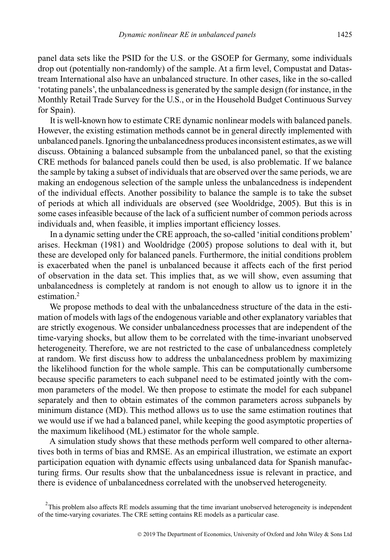panel data sets like the PSID for the U.S. or the GSOEP for Germany, some individuals drop out (potentially non-randomly) of the sample. At a firm level, Compustat and Datastream International also have an unbalanced structure. In other cases, like in the so-called 'rotating panels', the unbalancedness is generated by the sample design (for instance, in the Monthly Retail Trade Survey for the U.S., or in the Household Budget Continuous Survey for Spain).

It is well-known how to estimate CRE dynamic nonlinear models with balanced panels. However, the existing estimation methods cannot be in general directly implemented with unbalanced panels. Ignoring the unbalancedness produces inconsistent estimates, as we will discuss. Obtaining a balanced subsample from the unbalanced panel, so that the existing CRE methods for balanced panels could then be used, is also problematic. If we balance the sample by taking a subset of individuals that are observed over the same periods, we are making an endogenous selection of the sample unless the unbalancedness is independent of the individual effects. Another possibility to balance the sample is to take the subset of periods at which all individuals are observed (see Wooldridge, 2005). But this is in some cases infeasible because of the lack of a sufficient number of common periods across individuals and, when feasible, it implies important efficiency losses.

In a dynamic setting under the CRE approach, the so-called 'initial conditions problem' arises. Heckman (1981) and Wooldridge (2005) propose solutions to deal with it, but these are developed only for balanced panels. Furthermore, the initial conditions problem is exacerbated when the panel is unbalanced because it affects each of the first period of observation in the data set. This implies that, as we will show, even assuming that unbalancedness is completely at random is not enough to allow us to ignore it in the estimation.<sup>2</sup>

We propose methods to deal with the unbalancedness structure of the data in the estimation of models with lags of the endogenous variable and other explanatory variables that are strictly exogenous. We consider unbalancedness processes that are independent of the time-varying shocks, but allow them to be correlated with the time-invariant unobserved heterogeneity. Therefore, we are not restricted to the case of unbalancedness completely at random. We first discuss how to address the unbalancedness problem by maximizing the likelihood function for the whole sample. This can be computationally cumbersome because specific parameters to each subpanel need to be estimated jointly with the common parameters of the model. We then propose to estimate the model for each subpanel separately and then to obtain estimates of the common parameters across subpanels by minimum distance (MD). This method allows us to use the same estimation routines that we would use if we had a balanced panel, while keeping the good asymptotic properties of the maximum likelihood (ML) estimator for the whole sample.

A simulation study shows that these methods perform well compared to other alternatives both in terms of bias and RMSE. As an empirical illustration, we estimate an export participation equation with dynamic effects using unbalanced data for Spanish manufacturing firms. Our results show that the unbalancedness issue is relevant in practice, and there is evidence of unbalancedness correlated with the unobserved heterogeneity.

 $2$ This problem also affects RE models assuming that the time invariant unobserved heterogeneity is independent of the time-varying covariates. The CRE setting contains RE models as a particular case.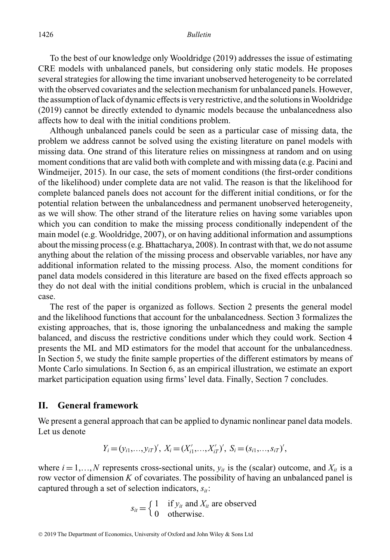To the best of our knowledge only Wooldridge (2019) addresses the issue of estimating CRE models with unbalanced panels, but considering only static models. He proposes several strategies for allowing the time invariant unobserved heterogeneity to be correlated with the observed covariates and the selection mechanism for unbalanced panels. However, the assumption of lack of dynamic effects is very restrictive, and the solutions inWooldridge (2019) cannot be directly extended to dynamic models because the unbalancedness also affects how to deal with the initial conditions problem.

Although unbalanced panels could be seen as a particular case of missing data, the problem we address cannot be solved using the existing literature on panel models with missing data. One strand of this literature relies on missingness at random and on using moment conditions that are valid both with complete and with missing data (e.g. Pacini and Windmeijer, 2015). In our case, the sets of moment conditions (the first-order conditions of the likelihood) under complete data are not valid. The reason is that the likelihood for complete balanced panels does not account for the different initial conditions, or for the potential relation between the unbalancedness and permanent unobserved heterogeneity, as we will show. The other strand of the literature relies on having some variables upon which you can condition to make the missing process conditionally independent of the main model (e.g. Wooldridge, 2007), or on having additional information and assumptions about the missing process (e.g. Bhattacharya, 2008). In contrast with that, we do not assume anything about the relation of the missing process and observable variables, nor have any additional information related to the missing process. Also, the moment conditions for panel data models considered in this literature are based on the fixed effects approach so they do not deal with the initial conditions problem, which is crucial in the unbalanced case.

The rest of the paper is organized as follows. Section 2 presents the general model and the likelihood functions that account for the unbalancedness. Section 3 formalizes the existing approaches, that is, those ignoring the unbalancedness and making the sample balanced, and discuss the restrictive conditions under which they could work. Section 4 presents the ML and MD estimators for the model that account for the unbalancedness. In Section 5, we study the finite sample properties of the different estimators by means of Monte Carlo simulations. In Section 6, as an empirical illustration, we estimate an export market participation equation using firms' level data. Finally, Section 7 concludes.

## **II. General framework**

We present a general approach that can be applied to dynamic nonlinear panel data models. Let us denote

$$
Y_i = (y_{i1},...,y_{iT})', X_i = (X'_{i1},...,X'_{iT})', S_i = (s_{i1},...,s_{iT})',
$$

where  $i = 1,...,N$  represents cross-sectional units,  $y_{it}$  is the (scalar) outcome, and  $X_{it}$  is a row vector of dimension *K* of covariates. The possibility of having an unbalanced panel is captured through a set of selection indicators,  $s_{it}$ :

$$
s_{it} = \begin{cases} 1 & \text{if } y_{it} \text{ and } X_{it} \text{ are observed} \\ 0 & \text{otherwise.} \end{cases}
$$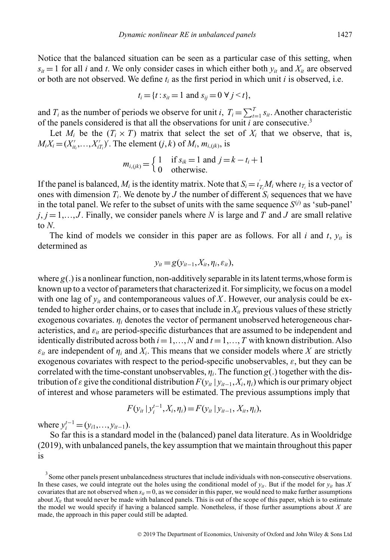Notice that the balanced situation can be seen as a particular case of this setting, when  $s_{it} = 1$  for all *i* and *t*. We only consider cases in which either both  $y_{it}$  and  $X_{it}$  are observed or both are not observed. We define  $t_i$  as the first period in which unit  $i$  is observed, i.e.

$$
t_i = \{t : s_{it} = 1 \text{ and } s_{ij} = 0 \ \forall j \leq t\},\
$$

and  $T_i$  as the number of periods we observe for unit *i*,  $T_i = \sum_{t=1}^T s_{it}$ . Another characteristic of the panels considered is that all the observations for unit *i* are consecutive.3

Let  $M_i$  be the  $(T_i \times T)$  matrix that select the set of  $X_i$  that we observe, that is,  $M_i X_i = (X'_{it_i},...,X'_{iT_i})'$ . The element  $(j, k)$  of  $M_i$ ,  $m_{i, (jk)}$ , is

$$
m_{i,(jk)} = \begin{cases} 1 & \text{if } s_{ik} = 1 \text{ and } j = k - t_i + 1 \\ 0 & \text{otherwise.} \end{cases}
$$

If the panel is balanced,  $M_i$  is the identity matrix. Note that  $S_i = i_{T_i} M_i$  where  $i_{T_i}$  is a vector of ones with dimension  $T_i$ . We denote by *J* the number of different  $S_i$  sequences that we have in the total panel. We refer to the subset of units with the same sequence  $S^{(i)}$  as 'sub-panel'  $j, j = 1, \ldots, J$ . Finally, we consider panels where *N* is large and *T* and *J* are small relative to *N*.

The kind of models we consider in this paper are as follows. For all  $i$  and  $t$ ,  $y_{it}$  is determined as

$$
y_{it} = g(y_{it-1}, X_{it}, \eta_i, \varepsilon_{it}),
$$

where  $g(.)$  is a nonlinear function, non-additively separable in its latent terms, whose form is known up to a vector of parameters that characterized it. For simplicity, we focus on a model with one lag of  $y_{it}$  and contemporaneous values of X. However, our analysis could be extended to higher order chains, or to cases that include in  $X_{it}$  previous values of these strictly exogenous covariates.  $\eta_i$  denotes the vector of permanent unobserved heterogeneous characteristics, and  $\varepsilon_{it}$  are period-specific disturbances that are assumed to be independent and identically distributed across both  $i=1,...,N$  and  $t=1,...,T$  with known distribution. Also  $\varepsilon_{it}$  are independent of  $\eta_i$  and  $X_i$ . This means that we consider models where X are strictly exogenous covariates with respect to the period-specific unobservables,  $\varepsilon$ , but they can be correlated with the time-constant unobservables,  $\eta_i$ . The function  $g(.)$  together with the distribution of  $\varepsilon$  give the conditional distribution  $F(\gamma_{ii} | \gamma_{ii-1}, X_i, \eta_i)$  which is our primary object of interest and whose parameters will be estimated. The previous assumptions imply that

$$
F(y_{it} | y_i^{t-1}, X_i, \eta_i) = F(y_{it} | y_{it-1}, X_{it}, \eta_i),
$$

where  $y_i^{t-1} = (y_{i1},..., y_{it-1}).$ 

So far this is a standard model in the (balanced) panel data literature. As in Wooldridge (2019), with unbalanced panels, the key assumption that we maintain throughout this paper is

 $3$  Some other panels present unbalancedness structures that include individuals with non-consecutive observations. In these cases, we could integrate out the holes using the conditional model of  $y_{it}$ . But if the model for  $y_{it}$  has X covariates that are not observed when  $s_{it} = 0$ , as we consider in this paper, we would need to make further assumptions about  $X_{it}$  that would never be made with balanced panels. This is out of the scope of this paper, which is to estimate the model we would specify if having a balanced sample. Nonetheless, if those further assumptions about *X* are made, the approach in this paper could still be adapted.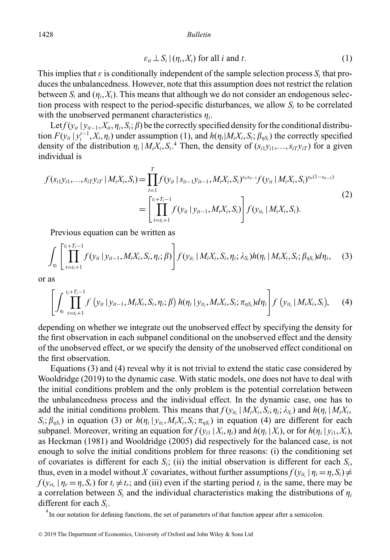1428 *Bulletin*

$$
\varepsilon_{it} \perp S_i \mid (\eta_i, X_i) \text{ for all } i \text{ and } t. \tag{1}
$$

This implies that  $\varepsilon$  is conditionally independent of the sample selection process  $S_i$  that produces the unbalancedness. However, note that this assumption does not restrict the relation between  $S_i$  and  $(\eta_i, X_i)$ . This means that although we do not consider an endogenous selection process with respect to the period-specific disturbances, we allow  $S_i$  to be correlated with the unobserved permanent characteristics  $\eta_i$ .

Let  $f(y_{it} | y_{it-1}, X_{it}, \eta_i, S_i; \beta)$  be the correctly specified density for the conditional distribution  $F(y_{it} | y_i^{t-1}, X_i, \eta_i)$  under assumption (1), and  $h(\eta_i | M_i X_i, S_i; \beta_{\eta S_i})$  the correctly specified density of the distribution  $\eta_i | M_i X_i, S_i$ .<sup>4</sup> Then, the density of  $(s_{i1} y_{i1},...,s_{iT} y_{iT})$  for a given individual is

$$
f(s_{i1}y_{i1},...,s_{iT}y_{iT} | M_iX_i, S_i) = \prod_{t=1}^T f(y_{it} | s_{it-1}y_{it-1}, M_iX_i, S_i)^{s_{it}s_{it-1}} f(y_{it} | M_iX_i, S_i)^{s_{it}(1-s_{it-1})}
$$
  
= 
$$
\left[ \prod_{t=t_i+1}^{t_i+T_i-1} f(y_{it} | y_{it-1}, M_iX_i, S_i) \right] f(y_{it_i} | M_iX_i, S_i).
$$
 (2)

Previous equation can be written as

$$
\int_{\eta_i} \left[ \prod_{t=t_i+1}^{t_i+T_i-1} f(y_{it} | y_{it-1}, M_i X_i, S_i, \eta_i; \beta) \right] f(y_{it_i} | M_i X_i, S_i, \eta_i; \lambda_{S_i}) h(\eta_i | M_i X_i, S_i; \beta_{\eta S_i}) d\eta_i, \quad (3)
$$

or as

$$
\left[\int_{\eta_i}^{t_i+T_i-1} f(y_{it} | y_{it-1}, M_i X_i, S_i, \eta_i; \beta) h(\eta_i | y_{it_i}, M_i X_i, S_i; \pi_{\eta S_i}) d\eta_i\right] f(y_{it_i} | M_i X_i, S_i), \quad (4)
$$

depending on whether we integrate out the unobserved effect by specifying the density for the first observation in each subpanel conditional on the unobserved effect and the density of the unobserved effect, or we specify the density of the unobserved effect conditional on the first observation.

Equations (3) and (4) reveal why it is not trivial to extend the static case considered by Wooldridge (2019) to the dynamic case. With static models, one does not have to deal with the initial conditions problem and the only problem is the potential correlation between the unbalancedness process and the individual effect. In the dynamic case, one has to add the initial conditions problem. This means that  $f(y_{it_i} | M_i X_i, S_i, \eta_i; \lambda_{S_i})$  and  $h(\eta_i | M_i X_i,$  $S_i$ ;  $\beta_{\eta S_i}$ ) in equation (3) or  $h(\eta_i | y_{it_i}, M_i X_i, S_i; \pi_{\eta S_i})$  in equation (4) are different for each subpanel. Moreover, writing an equation for  $f(y_{i1} | X_i, \eta_i)$  and  $h(\eta_i | X_i)$ , or for  $h(\eta_i | y_{i1}, X_i)$ , as Heckman (1981) and Wooldridge (2005) did respectively for the balanced case, is not enough to solve the initial conditions problem for three reasons: (i) the conditioning set of covariates is different for each  $S_i$ ; (ii) the initial observation is different for each  $S_i$ , thus, even in a model without *X* covariates, without further assumptions  $f(y_{it} | \eta_i = \eta, S_i) \neq$  $f(y_{rt_r} | \eta_r = \eta, S_r)$  for  $t_i \neq t_r$ ; and (iii) even if the starting period  $t_i$  is the same, there may be a correlation between  $S_i$  and the individual characteristics making the distributions of  $\eta_i$ different for each *Si*.

<sup>&</sup>lt;sup>4</sup> In our notation for defining functions, the set of parameters of that function appear after a semicolon.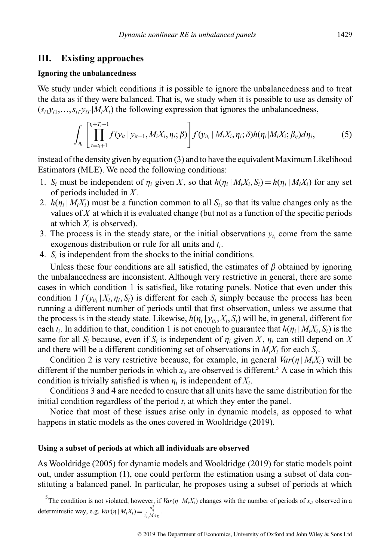# **III. Existing approaches**

#### **Ignoring the unbalancedness**

We study under which conditions it is possible to ignore the unbalancedness and to treat the data as if they were balanced. That is, we study when it is possible to use as density of  $(s_{i1}y_{i1},...,s_{iT}y_{iT}|M_iX_i)$  the following expression that ignores the unbalancedness,

$$
\int_{\eta_i} \left[ \prod_{t=t_i+1}^{t_i+T_i-1} f(y_{it} | y_{it-1}, M_i X_i, \eta_i; \beta) \right] f(y_{it_i} | M_i X_i, \eta_i; \delta) h(\eta_i | M_i X_i; \beta_{\eta}) d\eta_i, \tag{5}
$$

instead of the density given by equation (3) and to have the equivalent Maximum Likelihood Estimators (MLE). We need the following conditions:

- 1. *S<sub>i</sub>* must be independent of  $\eta_i$  given *X*, so that  $h(\eta_i | M_i X_i, S_i) = h(\eta_i | M_i X_i)$  for any set of periods included in *X* .
- 2.  $h(\eta_i | M_i X_i)$  must be a function common to all  $S_i$ , so that its value changes only as the values of *X* at which it is evaluated change (but not as a function of the specific periods at which  $X_i$  is observed).
- 3. The process is in the steady state, or the initial observations  $y_t$  come from the same exogenous distribution or rule for all units and *ti*.
- 4. *Si* is independent from the shocks to the initial conditions.

Unless these four conditions are all satisfied, the estimates of  $\beta$  obtained by ignoring the unbalancedness are inconsistent. Although very restrictive in general, there are some cases in which condition 1 is satisfied, like rotating panels. Notice that even under this condition  $1 f(y_{ii} | X_i, \eta_i, S_i)$  is different for each  $S_i$  simply because the process has been running a different number of periods until that first observation, unless we assume that the process is in the steady state. Likewise,  $h(\eta_i | y_{it_i}, X_i, S_i)$  will be, in general, different for each  $t_i$ . In addition to that, condition 1 is not enough to guarantee that  $h(\eta_i | M_i X_i, S_i)$  is the same for all  $S_i$  because, even if  $S_i$  is independent of  $\eta_i$  given X,  $\eta_i$  can still depend on X and there will be a different conditioning set of observations in  $M_i X_i$  for each  $S_i$ .

Condition 2 is very restrictive because, for example, in general  $Var(\eta | M_i X_i)$  will be different if the number periods in which  $x_i$  are observed is different.<sup>5</sup> A case in which this condition is trivially satisfied is when  $\eta_i$  is independent of  $X_i$ .

Conditions 3 and 4 are needed to ensure that all units have the same distribution for the initial condition regardless of the period  $t_i$  at which they enter the panel.

Notice that most of these issues arise only in dynamic models, as opposed to what happens in static models as the ones covered in Wooldridge (2019).

### **Using a subset of periods at which all individuals are observed**

As Wooldridge (2005) for dynamic models and Wooldridge (2019) for static models point out, under assumption (1), one could perform the estimation using a subset of data constituting a balanced panel. In particular, he proposes using a subset of periods at which

<sup>5</sup>The condition is not violated, however, if  $Var(\eta | M_i X_i)$  changes with the number of periods of  $x_{it}$  observed in a deterministic way, e.g.  $Var(\eta | M_i X_i) = \frac{\sigma_{\eta}^2}{i_{T_i} M_i i_{T_i}}$ .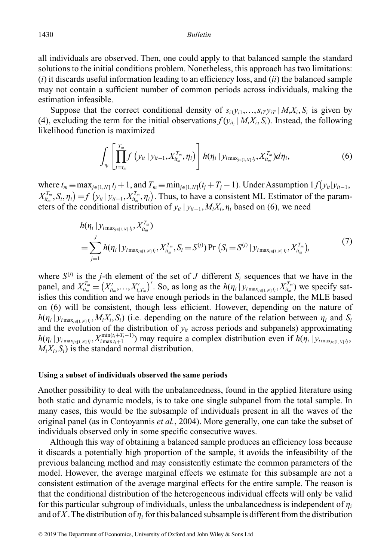all individuals are observed. Then, one could apply to that balanced sample the standard solutions to the initial conditions problem. Nonetheless, this approach has two limitations: (*i*) it discards useful information leading to an efficiency loss, and (*ii*) the balanced sample may not contain a sufficient number of common periods across individuals, making the estimation infeasible.

Suppose that the correct conditional density of  $s_{i1}y_{i1},...,s_{iT}y_{iT}$  |  $M_iX_i, S_i$  is given by (4), excluding the term for the initial observations  $f(y_{it} | M_i X_i, S_i)$ . Instead, the following likelihood function is maximized

$$
\int_{\eta_i} \left[ \prod_{t=t_m}^{T_m} f\left(y_{it} \, | \, y_{it-1}, X_{it_m}^{T_m}, \eta_i\right) \right] h(\eta_i \, | \, y_{i \max_{j \in [1, N]} t_j}, X_{it_m}^{T_m}) d\eta_i, \tag{6}
$$

where  $t_m \equiv \max_{j \in [1,N]} t_j + 1$ , and  $T_m \equiv \min_{j \in [1,N]} (t_j + T_j - 1)$ . Under Assumption  $1 f(y_{it}|y_{it-1},$  $X^{T_m}_{it_m}, S_i, \eta_i$  = *f*  $(y_{it} | y_{it-1}, X^{T_m}_{it_m}, \eta_i)$ . Thus, to have a consistent ML Estimator of the parameters of the conditional distribution of  $y_{it} | y_{it-1}, M_i X_i, \eta_i$  based on (6), we need

$$
h(\eta_i | y_{i \max_{j \in [1, N]} t_j}, X_{it_m}^{T_m})
$$
  
=  $\sum_{j=1}^{J} h(\eta_i | y_{i \max_{j \in [1, N]} t_j}, X_{it_m}^{T_m}, S_i = S^{(j)}) \Pr(S_i = S^{(j)} | y_{i \max_{j \in [1, N]} t_j}, X_{it_m}^{T_m}),$  (7)

where  $S^{(j)}$  is the *j*-th element of the set of *J* different  $S_i$  sequences that we have in the panel, and  $X_{it_m}^{T_m} = (X_{it_m}',...,X_{i,T_m}')'$ . So, as long as the  $h(\eta_i | y_{i \max_{j \in [1,N]} t_j}, X_{it_m}^{T_m})$  we specify satisfies this condition and we have enough periods in the balanced sample, the MLE based on (6) will be consistent, though less efficient. However, depending on the nature of  $h(\eta_i | y_{i \max_{j \in [1,N]} t_j}, M_i X_i, S_i)$  (i.e. depending on the nature of the relation between  $\eta_i$  and  $S_i$ and the evolution of the distribution of  $y_{it}$  across periods and subpanels) approximating  $h(\eta_i | y_{i \max_{j \in [1,N]} t_j}, X_{i \max_{i}+1}^{\min(t_i+T_i-1)})$  may require a complex distribution even if  $h(\eta_i | y_{i \max_{j \in [1,N]} t_j},$  $M_i X_i, S_i$  is the standard normal distribution.

#### **Using a subset of individuals observed the same periods**

Another possibility to deal with the unbalancedness, found in the applied literature using both static and dynamic models, is to take one single subpanel from the total sample. In many cases, this would be the subsample of individuals present in all the waves of the original panel (as in Contoyannis *et al.*, 2004). More generally, one can take the subset of individuals observed only in some specific consecutive waves.

Although this way of obtaining a balanced sample produces an efficiency loss because it discards a potentially high proportion of the sample, it avoids the infeasibility of the previous balancing method and may consistently estimate the common parameters of the model. However, the average marginal effects we estimate for this subsample are not a consistent estimation of the average marginal effects for the entire sample. The reason is that the conditional distribution of the heterogeneous individual effects will only be valid for this particular subgroup of individuals, unless the unbalancedness is independent of  $n_i$ and of *X*. The distribution of  $\eta_i$  for this balanced subsample is different from the distribution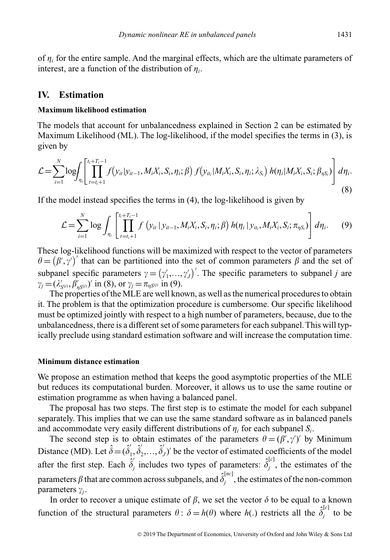of  $\eta_i$  for the entire sample. And the marginal effects, which are the ultimate parameters of interest, are a function of the distribution of  $\eta_i$ .

# **IV. Estimation**

#### **Maximum likelihood estimation**

The models that account for unbalancedness explained in Section 2 can be estimated by Maximum Likelihood (ML). The log-likelihood, if the model specifies the terms in (3), is given by

$$
\mathcal{L} = \sum_{i=1}^{N} \log \int_{\eta_i} \left[ \prod_{t=t_i+1}^{t_i+T_i-1} f(y_{it}|y_{it-1}, M_i X_i, S_i, \eta_i; \beta) f(y_{it_i}|M_i X_i, S_i, \eta_i; \lambda_{S_i}) h(\eta_i|M_i X_i, S_i; \beta_{\eta S_i}) \right] d\eta_i.
$$
\n(8)

If the model instead specifies the terms in (4), the log-likelihood is given by

$$
\mathcal{L} = \sum_{i=1}^{N} \log \int_{\eta_i} \left[ \prod_{t=t_i+1}^{t_i+T_i-1} f\left(y_{it} \,|\, y_{it-1}, M_i X_i, S_i, \eta_i; \beta\right) h(\eta_i \,|\, y_{it_i}, M_i X_i, S_i; \pi_{\eta S_i}) \right] d\eta_i. \tag{9}
$$

These log-likelihood functions will be maximized with respect to the vector of parameters  $\theta = (\beta', \gamma')'$  that can be partitioned into the set of common parameters  $\beta$  and the set of subpanel specific parameters  $\gamma = (\gamma'_1, \ldots, \gamma'_J)'$ . The specific parameters to subpanel *j* are  $\gamma_j = (\lambda'_{S^{(j)}}, \beta'_{\eta S^{(j)}})'$  in (8), or  $\gamma_j = \pi_{\eta S^{(j)}}$  in (9).

The properties of the MLE are well known, as well as the numerical procedures to obtain it. The problem is that the optimization procedure is cumbersome. Our specific likelihood must be optimized jointly with respect to a high number of parameters, because, due to the unbalancedness, there is a different set of some parameters for each subpanel. This will typically preclude using standard estimation software and will increase the computation time.

#### **Minimum distance estimation**

We propose an estimation method that keeps the good asymptotic properties of the MLE but reduces its computational burden. Moreover, it allows us to use the same routine or estimation programme as when having a balanced panel.

The proposal has two steps. The first step is to estimate the model for each subpanel separately. This implies that we can use the same standard software as in balanced panels and accommodate very easily different distributions of  $\eta_i$  for each subpanel  $S_i$ .

The second step is to obtain estimates of the parameters  $\theta = (\beta', \gamma')'$  by Minimum Distance (MD). Let  $\hat{\delta} = (\hat{\delta}'_1, \hat{\delta}'_2, ..., \hat{\delta}'_J)'$  be the vector of estimated coefficients of the model after the first step. Each  $\hat{\delta}'_j$  includes two types of parameters:  $\hat{\delta}^{[c]}_j$ , the estimates of the parameters  $\beta$  that are common across subpanels, and  $\hat{\delta}^{[nc]}_j,$  the estimates of the non-common parameters  $\gamma_j$ .

In order to recover a unique estimate of  $\beta$ , we set the vector  $\delta$  to be equal to a known function of the structural parameters  $\theta$ :  $\delta = h(\theta)$  where  $h(.)$  restricts all the  $\hat{\delta}_j^{[c]}$  to be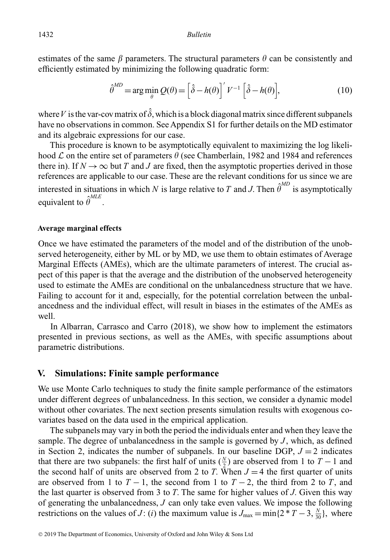estimates of the same  $\beta$  parameters. The structural parameters  $\theta$  can be consistently and efficiently estimated by minimizing the following quadratic form:

$$
\hat{\theta}^{MD} = \arg\min_{\theta} Q(\theta) = \left[\hat{\delta} - h(\theta)\right]' V^{-1} \left[\hat{\delta} - h(\theta)\right],\tag{10}
$$

where V is the var-cov matrix of  $\hat{\delta}$ , which is a block diagonal matrix since different subpanels have no observations in common. See Appendix S1 for further details on the MD estimator and its algebraic expressions for our case.

This procedure is known to be asymptotically equivalent to maximizing the log likelihood  $\mathcal L$  on the entire set of parameters  $\theta$  (see Chamberlain, 1982 and 1984 and references there in). If  $N \to \infty$  but *T* and *J* are fixed, then the asymptotic properties derived in those references are applicable to our case. These are the relevant conditions for us since we are interested in situations in which *N* is large relative to *T* and *J*. Then  $\hat{\theta}^{MD}$  is asymptotically equivalent to  $\hat{\theta}^{MLE}$ .

#### **Average marginal effects**

Once we have estimated the parameters of the model and of the distribution of the unobserved heterogeneity, either by ML or by MD, we use them to obtain estimates of Average Marginal Effects (AMEs), which are the ultimate parameters of interest. The crucial aspect of this paper is that the average and the distribution of the unobserved heterogeneity used to estimate the AMEs are conditional on the unbalancedness structure that we have. Failing to account for it and, especially, for the potential correlation between the unbalancedness and the individual effect, will result in biases in the estimates of the AMEs as well.

In Albarran, Carrasco and Carro (2018), we show how to implement the estimators presented in previous sections, as well as the AMEs, with specific assumptions about parametric distributions.

## **V. Simulations: Finite sample performance**

We use Monte Carlo techniques to study the finite sample performance of the estimators under different degrees of unbalancedness. In this section, we consider a dynamic model without other covariates. The next section presents simulation results with exogenous covariates based on the data used in the empirical application.

The subpanels may vary in both the period the individuals enter and when they leave the sample. The degree of unbalancedness in the sample is governed by *J* , which, as defined in Section 2, indicates the number of subpanels. In our baseline DGP,  $J = 2$  indicates that there are two subpanels: the first half of units  $(\frac{N}{2})$  are observed from 1 to *T* − 1 and the second half of units are observed from 2 to *T*. When  $J = 4$  the first quarter of units are observed from 1 to  $T - 1$ , the second from 1 to  $T - 2$ , the third from 2 to  $T$ , and the last quarter is observed from 3 to *T*. The same for higher values of *J*. Given this way of generating the unbalancedness, *J* can only take even values. We impose the following restrictions on the values of *J*: (*i*) the maximum value is  $J_{\text{max}} = \min\{2 \cdot T - 3, \frac{N}{30}\}\text{, where}$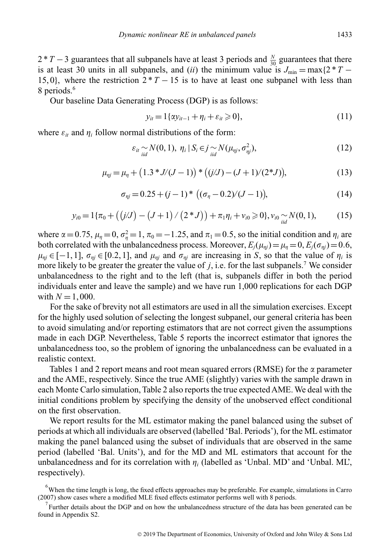2 <sup>\*</sup> *T* − 3 guarantees that all subpanels have at least 3 periods and  $\frac{N}{30}$  guarantees that there is at least 30 units in all subpanels, and (*ii*) the minimum value is  $J_{\text{min}} = \max\{2 \cdot T -$ 15, 0}, where the restriction  $2 \times T - 15$  is to have at least one subpanel with less than 8 periods.<sup>6</sup>

Our baseline Data Generating Process (DGP) is as follows:

$$
y_{it} = 1\{\alpha y_{it-1} + \eta_i + \varepsilon_{it} \geqslant 0\},\tag{11}
$$

where  $\varepsilon_{it}$  and  $\eta_i$  follow normal distributions of the form:

$$
\varepsilon_{it} \sim N(0, 1), \ \eta_i \mid S_i \in j \sim N(\mu_{\eta j}, \sigma_{\eta j}^2), \tag{12}
$$

$$
\mu_{\eta j} = \mu_{\eta} + (1.3 * J/(J - 1)) * ((j/J) - (J + 1)/(2 * J)), \tag{13}
$$

$$
\sigma_{\eta j} = 0.25 + (j - 1)^* \left( (\sigma_{\eta} - 0.2)/(J - 1) \right), \tag{14}
$$

$$
y_{i0} = 1\{\pi_0 + ((j/J) - (J+1) / (2 * J)) + \pi_1 \eta_i + \nu_{i0} \geq 0\}, \nu_{i0} \sim N(0, 1),
$$
 (15)

where  $\alpha = 0.75$ ,  $\mu_{\eta} = 0$ ,  $\sigma_{\eta}^2 = 1$ ,  $\pi_0 = -1.25$ , and  $\pi_1 = 0.5$ , so the initial condition and  $\eta_i$  are both correlated with the unbalancedness process. Moreover,  $E_i(\mu_{\eta i}) = \mu_{\eta} = 0$ ,  $E_i(\sigma_{\eta i}) = 0.6$ ,  $\mu_{\eta i} \in [-1, 1]$ ,  $\sigma_{\eta i} \in [0.2, 1]$ , and  $\mu_{\eta i}$  and  $\sigma_{\eta i}$  are increasing in *S*, so that the value of  $\eta_i$  is more likely to be greater the greater the value of  $j$ , i.e. for the last subpanels.<sup>7</sup> We consider unbalancedness to the right and to the left (that is, subpanels differ in both the period individuals enter and leave the sample) and we have run 1,000 replications for each DGP with  $N = 1,000$ .

For the sake of brevity not all estimators are used in all the simulation exercises. Except for the highly used solution of selecting the longest subpanel, our general criteria has been to avoid simulating and/or reporting estimators that are not correct given the assumptions made in each DGP. Nevertheless, Table 5 reports the incorrect estimator that ignores the unbalancedness too, so the problem of ignoring the unbalancedness can be evaluated in a realistic context.

Tables 1 and 2 report means and root mean squared errors (RMSE) for the  $\alpha$  parameter and the AME, respectively. Since the true AME (slightly) varies with the sample drawn in each Monte Carlo simulation, Table 2 also reports the true expected AME.We deal with the initial conditions problem by specifying the density of the unobserved effect conditional on the first observation.

We report results for the ML estimator making the panel balanced using the subset of periods at which all individuals are observed (labelled 'Bal. Periods'), for the ML estimator making the panel balanced using the subset of individuals that are observed in the same period (labelled 'Bal. Units'), and for the MD and ML estimators that account for the unbalancedness and for its correlation with  $\eta_i$  (labelled as 'Unbal. MD' and 'Unbal. ML', respectively).

 $<sup>6</sup>$ When the time length is long, the fixed effects approaches may be preferable. For example, simulations in Carro</sup> (2007) show cases where a modified MLE fixed effects estimator performs well with 8 periods.

 $7$  Further details about the DGP and on how the unbalancedness structure of the data has been generated can be found in Appendix S2.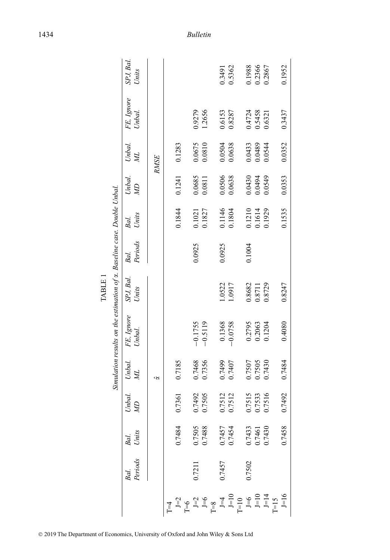|              |                            |                            |              |              |                                                                         | LABLE I            |                 |                            |                            |                  |                      |                   |
|--------------|----------------------------|----------------------------|--------------|--------------|-------------------------------------------------------------------------|--------------------|-----------------|----------------------------|----------------------------|------------------|----------------------|-------------------|
|              |                            |                            |              |              | Simulation results on the estimation of a. Baseline case. Double Unbal. |                    |                 |                            |                            |                  |                      |                   |
|              | Bal. Bal.<br>Periods Units |                            | Unbal.<br>ØИ | Unbal.<br>ЙN | FE, Ignore<br>Unbal.                                                    | SPJ, Bal.<br>Units | Periods<br>Bal. | Units<br>Bal.              | Unbal.<br>$\mathcal{Q}$    | Unbal.<br>Йľ     | FE, Ignore<br>Unbal. | SPJ, Bal<br>Units |
|              |                            |                            |              | Q,           |                                                                         |                    |                 |                            |                            | <b>RMSE</b>      |                      |                   |
| $\Gamma = 4$ |                            |                            |              |              |                                                                         |                    |                 |                            |                            |                  |                      |                   |
|              |                            | 0.7484                     | 0.7361       | 0.7185       |                                                                         |                    |                 | 0.1844                     | 0.1241                     | 0.1283           |                      |                   |
|              | 0.7211                     | 0.7505<br>0.7488           | 0.7492       | 0.7468       | $-0.1755$                                                               |                    | 0.0925          | 0.1021                     | 0.0685                     | 0.0675           | 0.9279               |                   |
|              |                            |                            | 0.7505       | 0.7356       | $-0.5119$                                                               |                    |                 | 0.1827                     | 0.0811                     | 0.0810           | 1.2656               |                   |
|              |                            |                            |              |              |                                                                         |                    |                 |                            |                            |                  |                      |                   |
|              | 0.7457                     |                            | 0.7512       | 0.7499       | 0.1368                                                                  | 1.0522             | 0.0925          | 0.1146                     | 0.0506                     | 0.0504           | 0.6153               | 0.3491            |
|              |                            | 0.7457<br>0.7454           | 0.7512       | 0.7407       | $-0.0758$                                                               | 1.0917             |                 | 0.1804                     | 0.0638                     | 0.0638           | 0.8287               | 0.5362            |
|              |                            |                            |              |              |                                                                         |                    |                 |                            |                            |                  |                      |                   |
|              | 0.7502                     |                            | 0.7515       | 0.7507       |                                                                         | 0.8682             | 0.1004          |                            |                            | 0.0433           |                      | 0.1988            |
|              |                            |                            | 0.7533       | 0.7505       | 0.2795<br>0.2063                                                        | 0.8711             |                 | 0.1210<br>0.1614<br>0.1929 | 0.0430<br>0.0494<br>0.0549 | 0.0489<br>0.0544 | 0.5458<br>0.5458     | 0.2366            |
|              |                            | 0.7433<br>0.7461<br>0.7430 | 0.7516       | 0.7430       | 0.1204                                                                  | 0.8729             |                 |                            |                            |                  | 0.6321               | 0.2867            |
|              |                            |                            |              |              |                                                                         |                    |                 |                            |                            |                  |                      |                   |
|              |                            | 0.7458                     | 0.7492       | 0.7484       | 0.4080                                                                  | 0.8247             |                 | 0.1535                     | 0.0353                     | 0.0352           | 0.3437               | 0.1952            |

| ш |  |
|---|--|
|   |  |
| ≃ |  |
| ⊢ |  |

© 2019 The Department of Economics, University of Oxford and John Wiley & Sons Ltd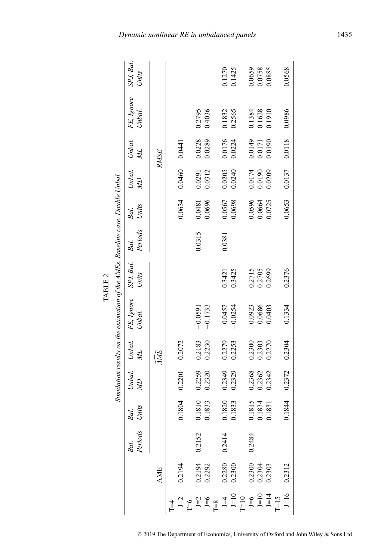|                                                           |         |        |                  |                  | Simulation results on the estimation of the AMEs. Baseline case. Double Unbal. |                               |         |                  |                  |                                                           |                            |                    |
|-----------------------------------------------------------|---------|--------|------------------|------------------|--------------------------------------------------------------------------------|-------------------------------|---------|------------------|------------------|-----------------------------------------------------------|----------------------------|--------------------|
|                                                           | Bal.    | Bal.   | Unbal.           |                  | Unbal. FE, Ignore<br>ML Unbal.                                                 | SPJ, Bal. Bal.<br>Units Peric |         | Bal.             | Unbal.           | Unbal.                                                    | FE, Ignore<br>Unbal.       | SPJ, Bal.<br>Units |
|                                                           | Periods | Units  | $\mathbb{Z}$     |                  |                                                                                |                               | Periods | Units            | $\mathcal{W}$    | Йľ                                                        |                            |                    |
| AME                                                       |         |        |                  | (ME              |                                                                                |                               |         |                  |                  | <b>RMSE</b>                                               |                            |                    |
|                                                           |         |        |                  |                  |                                                                                |                               |         |                  |                  |                                                           |                            |                    |
| 0.2194                                                    |         | 0.1804 | 0.2201           | 0.2072           |                                                                                |                               |         | 0.0634           | 0.0460           | 0.0441                                                    |                            |                    |
|                                                           |         |        |                  |                  |                                                                                |                               |         |                  |                  |                                                           |                            |                    |
| 0.2194<br>0.2292                                          | 0.2152  | 0.1810 | 0.2259           | 0.2183           | $-0.0591$                                                                      |                               | 0.0315  | 0.0481           | 0.0291           | 0.0228                                                    | 0.2795                     |                    |
|                                                           |         | 0.1833 | 0.2320           | 0.2230           | $-0.1733$                                                                      |                               |         | 0.0696           | 0.0312           | 0.0289                                                    | 0.4036                     |                    |
|                                                           |         |        |                  |                  |                                                                                |                               |         |                  |                  |                                                           |                            |                    |
| 0.2280<br>0.2300                                          | 0.2414  | 0.1820 |                  |                  | 0.0457                                                                         | 0.3421                        | 0.0381  | 0.0567           |                  |                                                           |                            | 0.1270             |
|                                                           |         | 0.1833 | 0.2349<br>0.2329 | 0.2279<br>0.2253 | $-0.0254$                                                                      | 0.3425                        |         | 0.0698           | 0.0205<br>0.0240 | 0.0176<br>0.0224                                          | 0.1832<br>0.2565           | 0.1425             |
|                                                           |         |        |                  |                  |                                                                                |                               |         |                  |                  |                                                           |                            |                    |
| $\begin{array}{c} 0.2300 \\ 0.2304 \\ 0.2303 \end{array}$ | 0.2484  | 0.1815 | 0.2368           | 0.2300           | 0.0923                                                                         | 0.2715                        |         |                  | 0.0174           |                                                           |                            | 0.0659             |
|                                                           |         | 0.1834 | 0.2362<br>0.2342 | 0.2303<br>0.2270 | 0.0686                                                                         | 0.2705                        |         | 0.0596<br>0.0664 | 0.0190<br>0.0209 | $\begin{array}{c} 0.0149 \\ 0.0171 \\ 0.0190 \end{array}$ | 0.1384<br>0.1628<br>0.1910 | 0.0758             |
|                                                           |         | 0.1831 |                  |                  | 0.0403                                                                         | 0.2699                        |         | 0.0725           |                  |                                                           |                            | 0.0885             |
|                                                           |         |        |                  |                  |                                                                                |                               |         |                  |                  |                                                           |                            |                    |
| 0.2312                                                    |         | 0.1844 | 0.2372           | 0.2304           | 0.1334                                                                         | 0.2376                        |         | 0.0653           | 0.0137           | 0.0118                                                    | 0.0986                     | 0.0568             |

TABLE<sub>2</sub> TABLE 2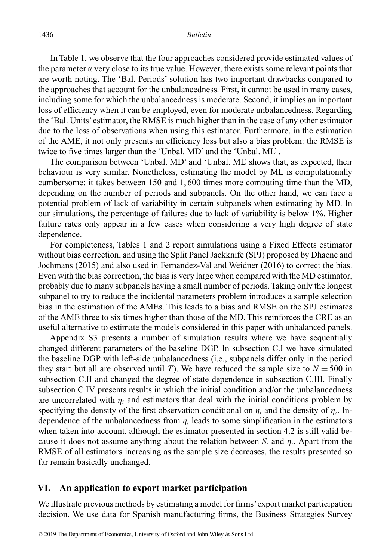In Table 1, we observe that the four approaches considered provide estimated values of the parameter  $\alpha$  very close to its true value. However, there exists some relevant points that are worth noting. The 'Bal. Periods' solution has two important drawbacks compared to the approaches that account for the unbalancedness. First, it cannot be used in many cases, including some for which the unbalancedness is moderate. Second, it implies an important loss of efficiency when it can be employed, even for moderate unbalancedness. Regarding the 'Bal. Units' estimator, the RMSE is much higher than in the case of any other estimator due to the loss of observations when using this estimator. Furthermore, in the estimation of the AME, it not only presents an efficiency loss but also a bias problem: the RMSE is twice to five times larger than the 'Unbal. MD' and the 'Unbal. ML' .

The comparison between 'Unbal. MD' and 'Unbal. ML' shows that, as expected, their behaviour is very similar. Nonetheless, estimating the model by ML is computationally cumbersome: it takes between 150 and 1, 600 times more computing time than the MD, depending on the number of periods and subpanels. On the other hand, we can face a potential problem of lack of variability in certain subpanels when estimating by MD. In our simulations, the percentage of failures due to lack of variability is below 1%. Higher failure rates only appear in a few cases when considering a very high degree of state dependence.

For completeness, Tables 1 and 2 report simulations using a Fixed Effects estimator without bias correction, and using the Split Panel Jackknife (SPJ) proposed by Dhaene and Jochmans (2015) and also used in Fernandez-Val and Weidner (2016) to correct the bias. Even with the bias correction, the bias is very large when compared with the MD estimator, probably due to many subpanels having a small number of periods. Taking only the longest subpanel to try to reduce the incidental parameters problem introduces a sample selection bias in the estimation of the AMEs. This leads to a bias and RMSE on the SPJ estimates of the AME three to six times higher than those of the MD. This reinforces the CRE as an useful alternative to estimate the models considered in this paper with unbalanced panels.

Appendix S3 presents a number of simulation results where we have sequentially changed different parameters of the baseline DGP. In subsection C.I we have simulated the baseline DGP with left-side unbalancedness (i.e., subpanels differ only in the period they start but all are observed until *T*). We have reduced the sample size to  $N = 500$  in subsection C.II and changed the degree of state dependence in subsection C.III. Finally subsection C.IV presents results in which the initial condition and/or the unbalancedness are uncorrelated with  $\eta_i$  and estimators that deal with the initial conditions problem by specifying the density of the first observation conditional on  $\eta_i$  and the density of  $\eta_i$ . Independence of the unbalancedness from  $\eta_i$  leads to some simplification in the estimators when taken into account, although the estimator presented in section 4.2 is still valid because it does not assume anything about the relation between  $S_i$  and  $\eta_i$ . Apart from the RMSE of all estimators increasing as the sample size decreases, the results presented so far remain basically unchanged.

#### **VI. An application to export market participation**

We illustrate previous methods by estimating a model for firms' export market participation decision. We use data for Spanish manufacturing firms, the Business Strategies Survey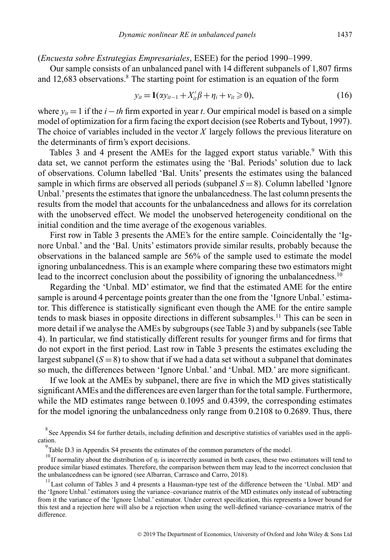## (*Encuesta sobre Estrategias Empresariales*, ESEE) for the period 1990–1999.

Our sample consists of an unbalanced panel with 14 different subpanels of 1,807 firms and 12,683 observations.<sup>8</sup> The starting point for estimation is an equation of the form

$$
y_{it} = \mathbf{1}(x y_{it-1} + X_{it}' \beta + \eta_i + v_{it} \ge 0),
$$
 (16)

where  $y_{it} = 1$  if the *i*−*th* firm exported in year *t*. Our empirical model is based on a simple model of optimization for a firm facing the export decision (see Roberts and Tybout, 1997). The choice of variables included in the vector *X* largely follows the previous literature on the determinants of firm's export decisions.

Tables 3 and 4 present the AMEs for the lagged export status variable.<sup>9</sup> With this data set, we cannot perform the estimates using the 'Bal. Periods' solution due to lack of observations. Column labelled 'Bal. Units' presents the estimates using the balanced sample in which firms are observed all periods (subpanel  $S = 8$ ). Column labelled 'Ignore Unbal.' presents the estimates that ignore the unbalancedness. The last column presents the results from the model that accounts for the unbalancedness and allows for its correlation with the unobserved effect. We model the unobserved heterogeneity conditional on the initial condition and the time average of the exogenous variables.

First row in Table 3 presents the AME's for the entire sample. Coincidentally the 'Ignore Unbal.' and the 'Bal. Units' estimators provide similar results, probably because the observations in the balanced sample are 56% of the sample used to estimate the model ignoring unbalancedness. This is an example where comparing these two estimators might lead to the incorrect conclusion about the possibility of ignoring the unbalancedness.<sup>10</sup>

Regarding the 'Unbal. MD' estimator, we find that the estimated AME for the entire sample is around 4 percentage points greater than the one from the 'Ignore Unbal.' estimator. This difference is statistically significant even though the AME for the entire sample tends to mask biases in opposite directions in different subsamples.<sup>11</sup> This can be seen in more detail if we analyse the AMEs by subgroups (see Table 3) and by subpanels (see Table 4). In particular, we find statistically different results for younger firms and for firms that do not export in the first period. Last row in Table 3 presents the estimates excluding the largest subpanel  $(S = 8)$  to show that if we had a data set without a subpanel that dominates so much, the differences between 'Ignore Unbal.' and 'Unbal. MD.' are more significant.

If we look at the AMEs by subpanel, there are five in which the MD gives statistically significantAMEs and the differences are even larger than for the total sample. Furthermore, while the MD estimates range between 0.1095 and 0.4399, the corresponding estimates for the model ignoring the unbalancedness only range from 0.2108 to 0.2689. Thus, there

 $8$  See Appendix S4 for further details, including definition and descriptive statistics of variables used in the application.

 $9^9$ Table D.3 in Appendix S4 presents the estimates of the common parameters of the model.

<sup>&</sup>lt;sup>10</sup> If normality about the distribution of  $\eta_i$  is incorrectly assumed in both cases, these two estimators will tend to produce similar biased estimates. Therefore, the comparison between them may lead to the incorrect conclusion that the unbalancedness can be ignored (see Albarran, Carrasco and Carro, 2018).

<sup>&</sup>lt;sup>11</sup> Last column of Tables 3 and 4 presents a Hausman-type test of the difference between the 'Unbal. MD' and the 'Ignore Unbal.' estimators using the variance–covariance matrix of the MD estimates only instead of subtracting from it the variance of the 'Ignore Unbal.' estimator. Under correct specification, this represents a lower bound for this test and a rejection here will also be a rejection when using the well-defined variance–covariance matrix of the difference.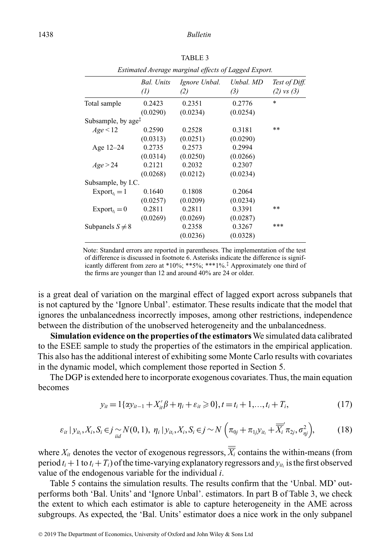|                                                    |                                        | Estimated Average marginal effects of Lagged Export. |                    |                                 |
|----------------------------------------------------|----------------------------------------|------------------------------------------------------|--------------------|---------------------------------|
|                                                    | <b>Bal.</b> Units<br>$\left( l\right)$ | Ignore Unbal.<br>(2)                                 | Unbal. MD<br>(3)   | Test of Diff.<br>$(2)$ vs $(3)$ |
| Total sample                                       | 0.2423<br>(0.0290)                     | 0.2351<br>(0.0234)                                   | 0.2776<br>(0.0254) | $\ast$                          |
| Subsample, by age <sup><math>\ddagger</math></sup> |                                        |                                                      |                    |                                 |
| Age < 12                                           | 0.2590                                 | 0.2528                                               | 0.3181             | $* *$                           |
|                                                    | (0.0313)                               | (0.0251)                                             | (0.0290)           |                                 |
| Age $12-24$                                        | 0.2735                                 | 0.2573                                               | 0.2994             |                                 |
|                                                    | (0.0314)                               | (0.0250)                                             | (0.0266)           |                                 |
| Age > 24                                           | 0.2121                                 | 0.2032                                               | 0.2307             |                                 |
|                                                    | (0.0268)                               | (0.0212)                                             | (0.0234)           |                                 |
| Subsample, by I.C.                                 |                                        |                                                      |                    |                                 |
| $Export_{ti} = 1$                                  | 0.1640                                 | 0.1808                                               | 0.2064             |                                 |
|                                                    | (0.0257)                               | (0.0209)                                             | (0.0234)           |                                 |
| $Export_{t_i}=0$                                   | 0.2811                                 | 0.2811                                               | 0.3391             | $* *$                           |
|                                                    | (0.0269)                               | (0.0269)                                             | (0.0287)           |                                 |
| Subpanels $S \neq 8$                               |                                        | 0.2358                                               | 0.3267             | ***                             |
|                                                    |                                        | (0.0236)                                             | (0.0328)           |                                 |

Note: Standard errors are reported in parentheses. The implementation of the test of difference is discussed in footnote 6. Asterisks indicate the difference is significantly different from zero at \*10%; \*\*5%; \*\*\*1%.‡ Approximately one third of

the firms are younger than 12 and around 40% are 24 or older.

is a great deal of variation on the marginal effect of lagged export across subpanels that is not captured by the 'Ignore Unbal'. estimator. These results indicate that the model that ignores the unbalancedness incorrectly imposes, among other restrictions, independence between the distribution of the unobserved heterogeneity and the unbalancedness.

**Simulation evidence on the properties of the estimators**We simulated data calibrated to the ESEE sample to study the properties of the estimators in the empirical application. This also has the additional interest of exhibiting some Monte Carlo results with covariates in the dynamic model, which complement those reported in Section 5.

The DGP is extended here to incorporate exogenous covariates. Thus, the main equation becomes

$$
y_{it} = 1\{\alpha y_{it-1} + X_{it}'\beta + \eta_i + \varepsilon_{it} \ge 0\}, t = t_i + 1, ..., t_i + T_i,
$$
\n(17)

$$
\varepsilon_{it} | y_{it_i}, X_i, S_i \in j \sim N(0, 1), \ \eta_i | y_{it_i}, X_i, S_i \in j \sim N\left(\pi_{0j} + \pi_{1j}y_{it_i} + \overline{\overline{X}_i}^{\prime} \pi_{2j}, \sigma_{\eta j}^2\right), \tag{18}
$$

where  $X_i$  denotes the vector of exogenous regressors,  $\overline{X}_i$  contains the within-means (from period  $t_i + 1$  to  $t_i + T_i$ ) of the time-varying explanatory regressors and  $y_{it}$  is the first observed value of the endogenous variable for the individual *i*.

Table 5 contains the simulation results. The results confirm that the 'Unbal. MD' outperforms both 'Bal. Units' and 'Ignore Unbal'. estimators. In part B of Table 3, we check the extent to which each estimator is able to capture heterogeneity in the AME across subgroups. As expected, the 'Bal. Units' estimator does a nice work in the only subpanel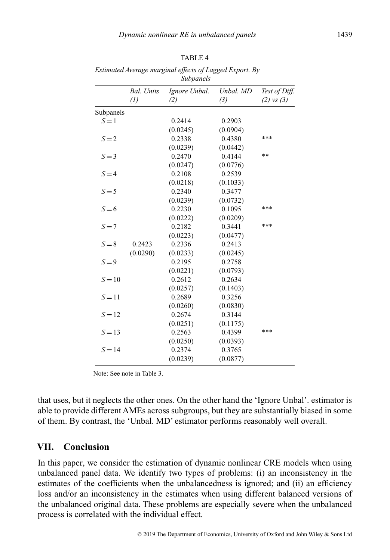|           |                   | subpaneis     |           |                |
|-----------|-------------------|---------------|-----------|----------------|
|           | <b>Bal.</b> Units | Ignore Unbal. | Unbal. MD | Test of Diff.  |
|           | $\left( l\right)$ | (2)           | (3)       | $(2)$ vs $(3)$ |
| Subpanels |                   |               |           |                |
| $S = 1$   |                   | 0.2414        | 0.2903    |                |
|           |                   | (0.0245)      | (0.0904)  |                |
| $S = 2$   |                   | 0.2338        | 0.4380    | ***            |
|           |                   | (0.0239)      | (0.0442)  |                |
| $S = 3$   |                   | 0.2470        | 0.4144    | $**$           |
|           |                   | (0.0247)      | (0.0776)  |                |
| $S = 4$   |                   | 0.2108        | 0.2539    |                |
|           |                   | (0.0218)      | (0.1033)  |                |
| $S = 5$   |                   | 0.2340        | 0.3477    |                |
|           |                   | (0.0239)      | (0.0732)  |                |
| $S=6$     |                   | 0.2230        | 0.1095    | ***            |
|           |                   | (0.0222)      | (0.0209)  |                |
| $S = 7$   |                   | 0.2182        | 0.3441    | ***            |
|           |                   | (0.0223)      | (0.0477)  |                |
| $S = 8$   | 0.2423            | 0.2336        | 0.2413    |                |
|           | (0.0290)          | (0.0233)      | (0.0245)  |                |
| $S = 9$   |                   | 0.2195        | 0.2758    |                |
|           |                   | (0.0221)      | (0.0793)  |                |
| $S=10$    |                   | 0.2612        | 0.2634    |                |
|           |                   | (0.0257)      | (0.1403)  |                |
| $S = 11$  |                   | 0.2689        | 0.3256    |                |
|           |                   | (0.0260)      | (0.0830)  |                |
| $S = 12$  |                   | 0.2674        | 0.3144    |                |
|           |                   | (0.0251)      | (0.1175)  |                |
| $S = 13$  |                   | 0.2563        | 0.4399    | ***            |
|           |                   | (0.0250)      | (0.0393)  |                |
| $S = 14$  |                   | 0.2374        | 0.3765    |                |
|           |                   | (0.0239)      | (0.0877)  |                |
|           |                   |               |           |                |

*Estimated Average marginal effects of Lagged Export. By Subpanels*

Note: See note in Table 3.

that uses, but it neglects the other ones. On the other hand the 'Ignore Unbal'. estimator is able to provide different AMEs across subgroups, but they are substantially biased in some of them. By contrast, the 'Unbal. MD' estimator performs reasonably well overall.

# **VII. Conclusion**

In this paper, we consider the estimation of dynamic nonlinear CRE models when using unbalanced panel data. We identify two types of problems: (i) an inconsistency in the estimates of the coefficients when the unbalancedness is ignored; and (ii) an efficiency loss and/or an inconsistency in the estimates when using different balanced versions of the unbalanced original data. These problems are especially severe when the unbalanced process is correlated with the individual effect.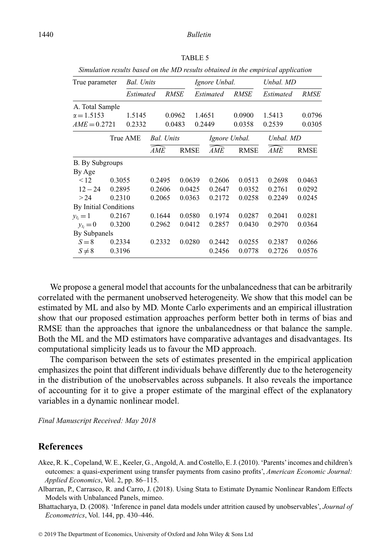| True parameter         |        | <b>Bal.</b> Units |            |                   |             | Ignore Unbal. |             | Unbal. MD |             |
|------------------------|--------|-------------------|------------|-------------------|-------------|---------------|-------------|-----------|-------------|
|                        |        | Estimated         |            | RMSE              |             | Estimated     | <b>RMSE</b> | Estimated | RMSE        |
| A. Total Sample        |        |                   |            |                   |             |               |             |           |             |
| $\alpha = 1.5153$      |        | 1.5145            |            | 0.0962            |             | 1.4651        | 0.0900      | 1.5413    | 0.0796      |
| $AME = 0.2721$         |        | 0.2332            |            | 0.0483            |             | 0.2449        | 0.0358      | 0.2539    | 0.0305      |
|                        |        | True AME          |            | <b>Bal.</b> Units |             | Ignore Unbal. |             | Unbal. MD |             |
|                        |        |                   | <b>AME</b> |                   | <b>RMSE</b> | <b>AME</b>    | <b>RMSE</b> | AME       | <b>RMSE</b> |
| <b>B.</b> By Subgroups |        |                   |            |                   |             |               |             |           |             |
| By Age                 |        |                   |            |                   |             |               |             |           |             |
| $\leq$ 12              | 0.3055 |                   | 0.2495     |                   | 0.0639      | 0.2606        | 0.0513      | 0.2698    | 0.0463      |
| $12 - 24$              | 0.2895 |                   | 0.2606     |                   | 0.0425      | 0.2647        | 0.0352      | 0.2761    | 0.0292      |
| >24                    | 0.2310 |                   | 0.2065     |                   | 0.0363      | 0.2172        | 0.0258      | 0.2249    | 0.0245      |
| By Initial Conditions  |        |                   |            |                   |             |               |             |           |             |
| $y_{ti} = 1$           | 0.2167 |                   | 0.1644     |                   | 0.0580      | 0.1974        | 0.0287      | 0.2041    | 0.0281      |
| $y_{t_i} = 0$          | 0.3200 |                   | 0.2962     |                   | 0.0412      | 0.2857        | 0.0430      | 0.2970    | 0.0364      |
| By Subpanels           |        |                   |            |                   |             |               |             |           |             |
| $S = 8$                | 0.2334 |                   | 0.2332     |                   | 0.0280      | 0.2442        | 0.0255      | 0.2387    | 0.0266      |
| $S \neq 8$             | 0.3196 |                   |            |                   |             | 0.2456        | 0.0778      | 0.2726    | 0.0576      |

*Simulation results based on the MD results obtained in the empirical application*

We propose a general model that accounts for the unbalancedness that can be arbitrarily correlated with the permanent unobserved heterogeneity. We show that this model can be estimated by ML and also by MD. Monte Carlo experiments and an empirical illustration show that our proposed estimation approaches perform better both in terms of bias and RMSE than the approaches that ignore the unbalancedness or that balance the sample. Both the ML and the MD estimators have comparative advantages and disadvantages. Its computational simplicity leads us to favour the MD approach.

The comparison between the sets of estimates presented in the empirical application emphasizes the point that different individuals behave differently due to the heterogeneity in the distribution of the unobservables across subpanels. It also reveals the importance of accounting for it to give a proper estimate of the marginal effect of the explanatory variables in a dynamic nonlinear model.

*Final Manuscript Received: May 2018*

# **References**

- Akee, R. K., Copeland,W. E., Keeler, G.,Angold,A. and Costello, E. J. (2010). 'Parents'incomes and children's outcomes: a quasi-experiment using transfer payments from casino profits', *American Economic Journal: Applied Economics*, Vol. 2, pp. 86–115.
- Albarran, P., Carrasco, R. and Carro, J. (2018). Using Stata to Estimate Dynamic Nonlinear Random Effects Models with Unbalanced Panels, mimeo.
- Bhattacharya, D. (2008). 'Inference in panel data models under attrition caused by unobservables', *Journal of Econometrics*, Vol. 144, pp. 430–446.